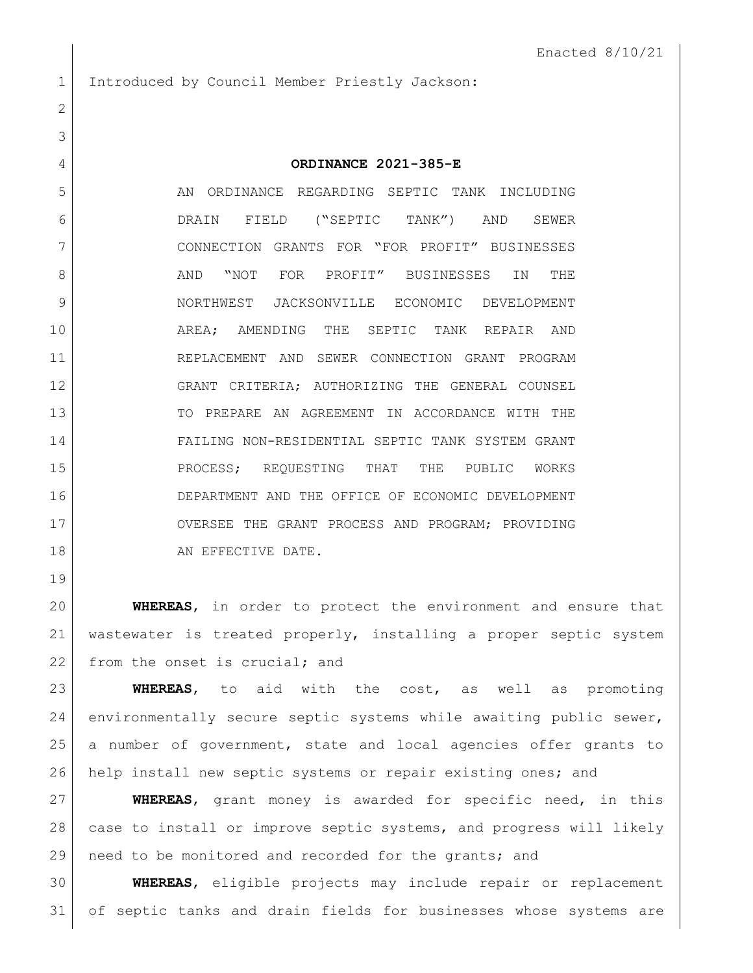1 Introduced by Council Member Priestly Jackson:

## **ORDINANCE 2021-385-E**

5 AN ORDINANCE REGARDING SEPTIC TANK INCLUDING DRAIN FIELD ("SEPTIC TANK") AND SEWER CONNECTION GRANTS FOR "FOR PROFIT" BUSINESSES 8 AND "NOT FOR PROFIT" BUSINESSES IN THE NORTHWEST JACKSONVILLE ECONOMIC DEVELOPMENT AREA; AMENDING THE SEPTIC TANK REPAIR AND REPLACEMENT AND SEWER CONNECTION GRANT PROGRAM GRANT CRITERIA; AUTHORIZING THE GENERAL COUNSEL TO PREPARE AN AGREEMENT IN ACCORDANCE WITH THE FAILING NON-RESIDENTIAL SEPTIC TANK SYSTEM GRANT 15 PROCESS; REQUESTING THAT THE PUBLIC WORKS DEPARTMENT AND THE OFFICE OF ECONOMIC DEVELOPMENT 17 OVERSEE THE GRANT PROCESS AND PROGRAM; PROVIDING 18 AN EFFECTIVE DATE.

 **WHEREAS**, in order to protect the environment and ensure that wastewater is treated properly, installing a proper septic system 22 from the onset is crucial; and

 **WHEREAS**, to aid with the cost, as well as promoting environmentally secure septic systems while awaiting public sewer, a number of government, state and local agencies offer grants to help install new septic systems or repair existing ones; and

 **WHEREAS**, grant money is awarded for specific need, in this case to install or improve septic systems, and progress will likely need to be monitored and recorded for the grants; and

 **WHEREAS**, eligible projects may include repair or replacement of septic tanks and drain fields for businesses whose systems are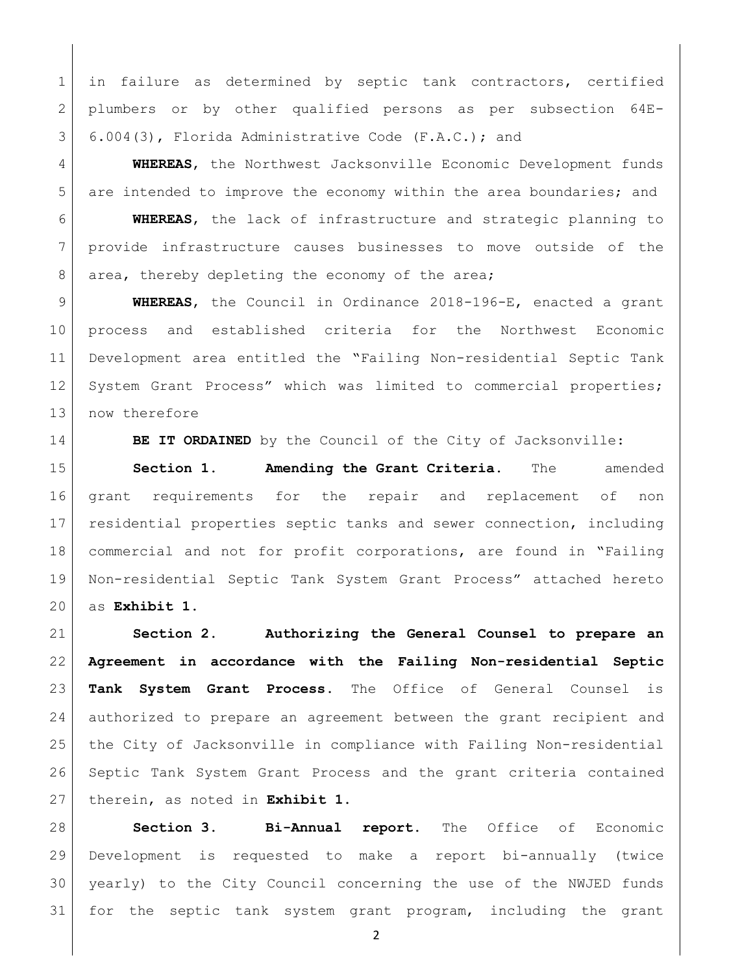1 | in failure as determined by septic tank contractors, certified plumbers or by other qualified persons as per subsection 64E-6.004(3), Florida Administrative Code (F.A.C.); and

 **WHEREAS**, the Northwest Jacksonville Economic Development funds 5 are intended to improve the economy within the area boundaries; and

 **WHEREAS**, the lack of infrastructure and strategic planning to provide infrastructure causes businesses to move outside of the 8 area, thereby depleting the economy of the area;

 **WHEREAS**, the Council in Ordinance 2018-196-E, enacted a grant process and established criteria for the Northwest Economic Development area entitled the "Failing Non-residential Septic Tank 12 System Grant Process" which was limited to commercial properties; 13 now therefore

**BE IT ORDAINED** by the Council of the City of Jacksonville:

 **Section 1. Amending the Grant Criteria.** The amended grant requirements for the repair and replacement of non residential properties septic tanks and sewer connection, including commercial and not for profit corporations, are found in "Failing Non-residential Septic Tank System Grant Process" attached hereto as **Exhibit 1**.

 **Section 2. Authorizing the General Counsel to prepare an Agreement in accordance with the Failing Non-residential Septic Tank System Grant Process.** The Office of General Counsel is authorized to prepare an agreement between the grant recipient and the City of Jacksonville in compliance with Failing Non-residential Septic Tank System Grant Process and the grant criteria contained therein, as noted in **Exhibit 1**.

 **Section 3. Bi-Annual report.** The Office of Economic Development is requested to make a report bi-annually (twice yearly) to the City Council concerning the use of the NWJED funds for the septic tank system grant program, including the grant